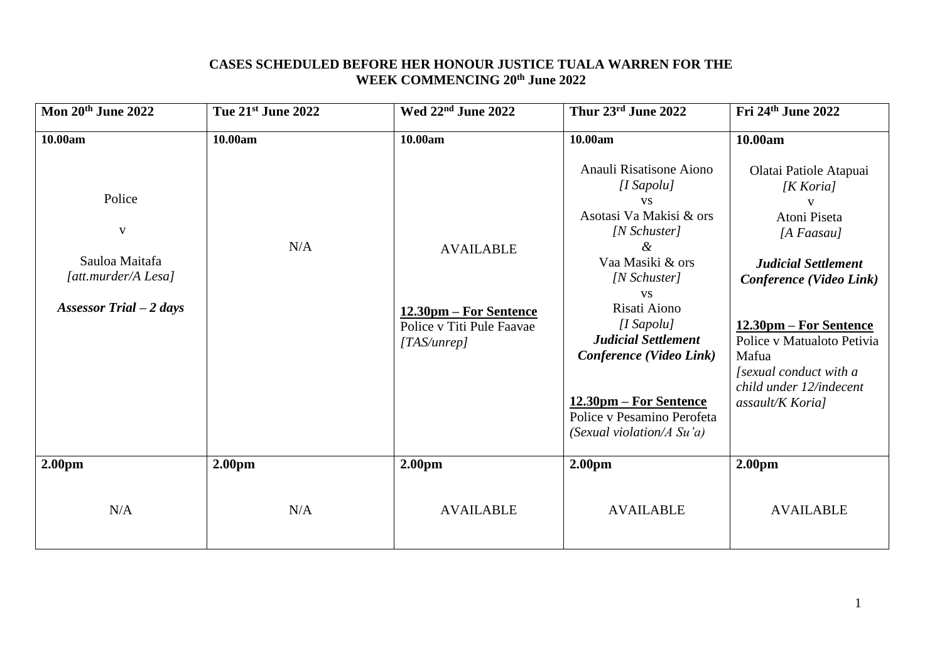### **CASES SCHEDULED BEFORE HER HONOUR JUSTICE TUALA WARREN FOR THE WEEK COMMENCING 20th June 2022**

| Mon 20th June 2022                                                                          | Tue 21st June 2022 | Wed 22 <sup>nd</sup> June 2022                                                         | Thur 23rd June 2022                                                                                                                                                                                                                                                                                                                       | Fri 24th June 2022                                                                                                                                                                                                                                                      |
|---------------------------------------------------------------------------------------------|--------------------|----------------------------------------------------------------------------------------|-------------------------------------------------------------------------------------------------------------------------------------------------------------------------------------------------------------------------------------------------------------------------------------------------------------------------------------------|-------------------------------------------------------------------------------------------------------------------------------------------------------------------------------------------------------------------------------------------------------------------------|
| 10.00am                                                                                     | 10.00am            | 10.00am                                                                                | 10.00am                                                                                                                                                                                                                                                                                                                                   | 10.00am                                                                                                                                                                                                                                                                 |
| Police<br>$\mathbf{V}$<br>Sauloa Maitafa<br>[att.murder/A Lesa]<br>Assessor Trial $-2$ days | N/A                | <b>AVAILABLE</b><br>12.30pm – For Sentence<br>Police v Titi Pule Faavae<br>[TAS/unrep] | Anauli Risatisone Aiono<br>$[I$ Sapolu $]$<br><b>VS</b><br>Asotasi Va Makisi & ors<br>[N Schuster]<br>&<br>Vaa Masiki & ors<br>[N Schuster]<br><b>VS</b><br>Risati Aiono<br>$[I$ Sapolu $]$<br><b>Judicial Settlement</b><br>Conference (Video Link)<br>12.30pm – For Sentence<br>Police v Pesamino Perofeta<br>(Sexual violation/A Su'a) | Olatai Patiole Atapuai<br>[K Koria]<br>Atoni Piseta<br>[ $A$ Faasau]<br><b>Judicial Settlement</b><br>Conference (Video Link)<br>12.30pm – For Sentence<br>Police v Matualoto Petivia<br>Mafua<br>[sexual conduct with a<br>child under 12/indecent<br>assault/K Koria] |
| 2.00 <sub>pm</sub>                                                                          | 2.00 <sub>pm</sub> | 2.00 <sub>pm</sub>                                                                     | 2.00 <sub>pm</sub>                                                                                                                                                                                                                                                                                                                        | 2.00 <sub>pm</sub>                                                                                                                                                                                                                                                      |
| N/A                                                                                         | N/A                | <b>AVAILABLE</b>                                                                       | <b>AVAILABLE</b>                                                                                                                                                                                                                                                                                                                          | <b>AVAILABLE</b>                                                                                                                                                                                                                                                        |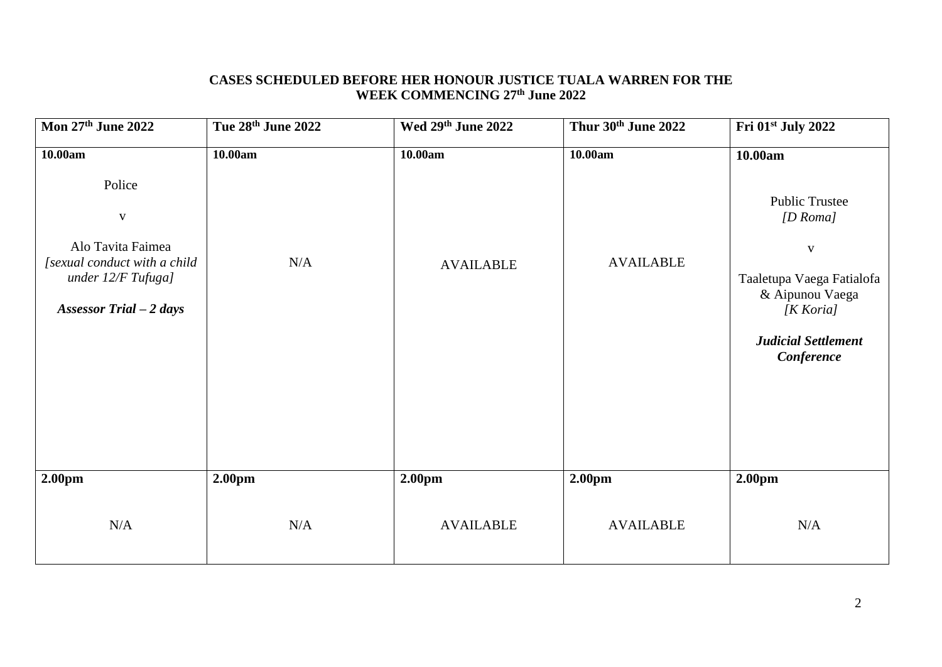## **CASES SCHEDULED BEFORE HER HONOUR JUSTICE TUALA WARREN FOR THE WEEK COMMENCING 27 th June 2022**

| Mon 27th June 2022                                                                                                            | Tue 28th June 2022 | Wed 29th June 2022 | Thur 30th June 2022 | Fri 01st July 2022                                                                                                                                         |
|-------------------------------------------------------------------------------------------------------------------------------|--------------------|--------------------|---------------------|------------------------------------------------------------------------------------------------------------------------------------------------------------|
| 10.00am                                                                                                                       | 10.00am            | 10.00am            | 10.00am             | 10.00am                                                                                                                                                    |
| Police<br>$\mathbf{V}$<br>Alo Tavita Faimea<br>[sexual conduct with a child<br>under 12/F Tufuga]<br>Assessor Trial $-2$ days | N/A                | <b>AVAILABLE</b>   | <b>AVAILABLE</b>    | <b>Public Trustee</b><br>[D Roma]<br>$\mathbf{V}$<br>Taaletupa Vaega Fatialofa<br>& Aipunou Vaega<br>[K Koria]<br><b>Judicial Settlement</b><br>Conference |
| 2.00 <sub>pm</sub>                                                                                                            | 2.00 <sub>pm</sub> | 2.00 <sub>pm</sub> | 2.00pm              | 2.00 <sub>pm</sub>                                                                                                                                         |
| N/A                                                                                                                           | N/A                | <b>AVAILABLE</b>   | <b>AVAILABLE</b>    | N/A                                                                                                                                                        |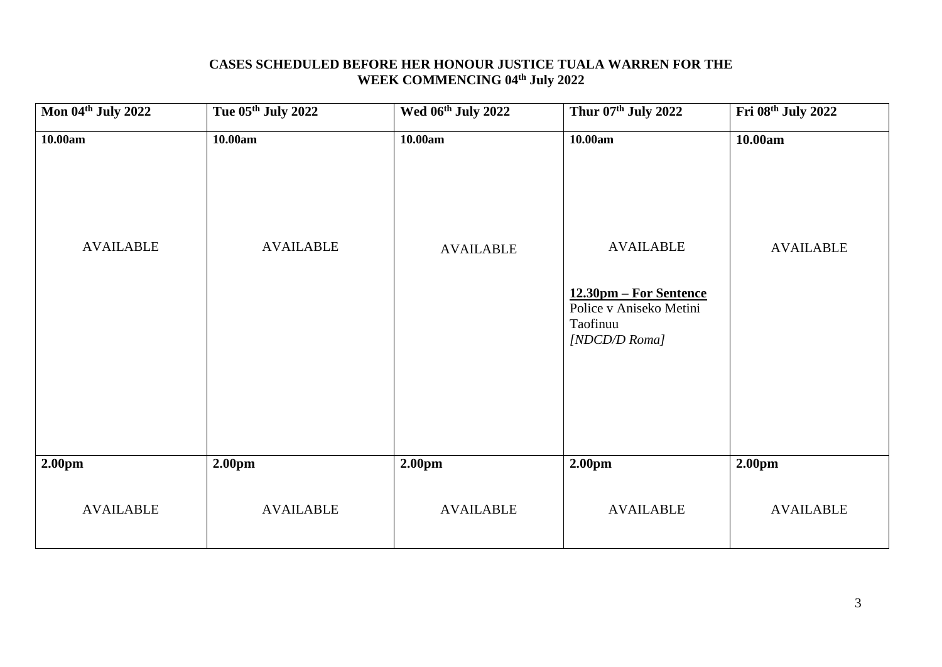### **CASES SCHEDULED BEFORE HER HONOUR JUSTICE TUALA WARREN FOR THE WEEK COMMENCING 04th July 2022**

| Mon 04th July 2022          | Tue 05th July 2022          | Wed 06th July 2022          | Thur 07th July 2022                                                            | Fri 08th July 2022          |
|-----------------------------|-----------------------------|-----------------------------|--------------------------------------------------------------------------------|-----------------------------|
| 10.00am<br><b>AVAILABLE</b> | 10.00am<br><b>AVAILABLE</b> | 10.00am<br><b>AVAILABLE</b> | 10.00am<br><b>AVAILABLE</b>                                                    | 10.00am<br><b>AVAILABLE</b> |
|                             |                             |                             | 12.30pm - For Sentence<br>Police v Aniseko Metini<br>Taofinuu<br>[NDCD/D Roma] |                             |
| 2.00pm                      | 2.00pm                      | 2.00pm                      | 2.00pm                                                                         | 2.00 <sub>pm</sub>          |
| <b>AVAILABLE</b>            | <b>AVAILABLE</b>            | <b>AVAILABLE</b>            | <b>AVAILABLE</b>                                                               | <b>AVAILABLE</b>            |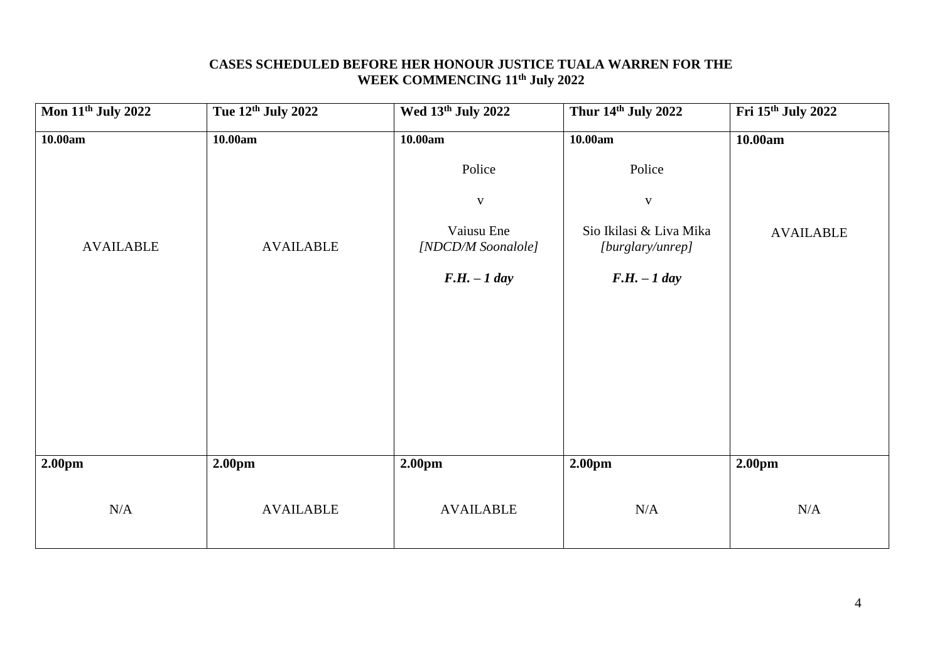### **CASES SCHEDULED BEFORE HER HONOUR JUSTICE TUALA WARREN FOR THE WEEK COMMENCING 11th July 2022**

| <b>Mon 11th July 2022</b> | Tue 12th July 2022 | Wed 13th July 2022               | Thur 14th July 2022                         | Fri 15th July 2022 |
|---------------------------|--------------------|----------------------------------|---------------------------------------------|--------------------|
| 10.00am                   | 10.00am            | 10.00am                          | 10.00am                                     | 10.00am            |
|                           |                    | Police                           | Police                                      |                    |
|                           |                    | $\mathbf{V}$                     | $\mathbf V$                                 |                    |
| <b>AVAILABLE</b>          | <b>AVAILABLE</b>   | Vaiusu Ene<br>[NDCD/M Soonalole] | Sio Ikilasi & Liva Mika<br>[burglary/unrep] | <b>AVAILABLE</b>   |
|                           |                    | $F.H. - 1 day$                   | $F.H. - 1 day$                              |                    |
|                           |                    |                                  |                                             |                    |
|                           |                    |                                  |                                             |                    |
|                           |                    |                                  |                                             |                    |
|                           |                    |                                  |                                             |                    |
|                           |                    |                                  |                                             |                    |
| 2.00pm                    | 2.00pm             | 2.00 <sub>pm</sub>               | 2.00pm                                      | 2.00 <sub>pm</sub> |
| N/A                       | <b>AVAILABLE</b>   | <b>AVAILABLE</b>                 | $\rm N/A$                                   | $\rm N/A$          |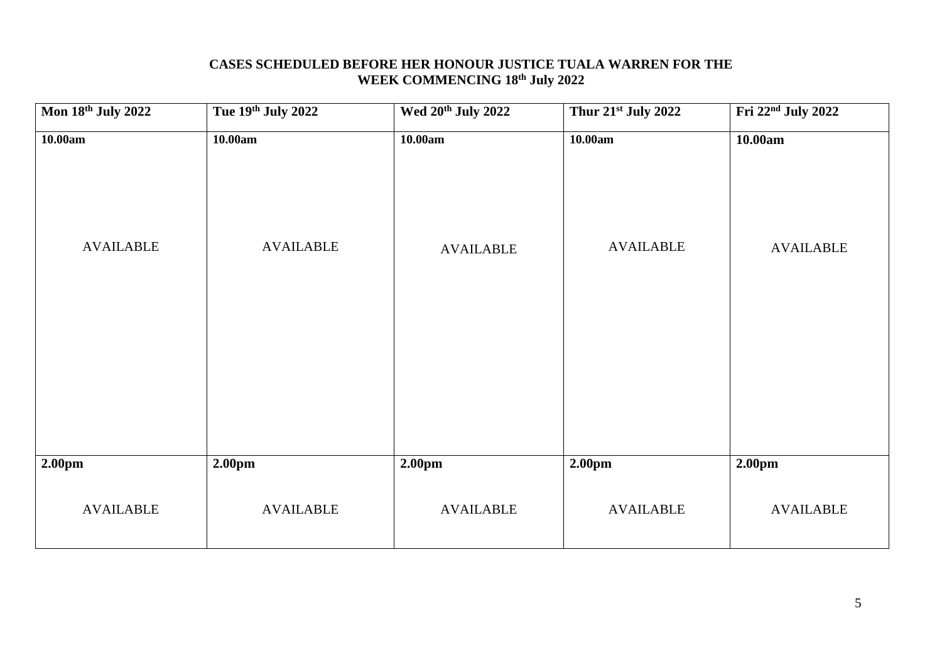### **CASES SCHEDULED BEFORE HER HONOUR JUSTICE TUALA WARREN FOR THE WEEK COMMENCING 18 th July 2022**

| Mon 18th July 2022          | Tue 19th July 2022          | Wed 20 <sup>th</sup> July 2022 | Thur 21st July 2022         | Fri 22 <sup>nd</sup> July 2022 |
|-----------------------------|-----------------------------|--------------------------------|-----------------------------|--------------------------------|
| 10.00am<br><b>AVAILABLE</b> | 10.00am<br><b>AVAILABLE</b> | 10.00am<br><b>AVAILABLE</b>    | 10.00am<br><b>AVAILABLE</b> | 10.00am<br><b>AVAILABLE</b>    |
|                             |                             |                                |                             |                                |
| 2.00pm                      | 2.00pm                      | 2.00pm                         | 2.00pm                      | 2.00 <sub>pm</sub>             |
| <b>AVAILABLE</b>            | <b>AVAILABLE</b>            | <b>AVAILABLE</b>               | <b>AVAILABLE</b>            | <b>AVAILABLE</b>               |